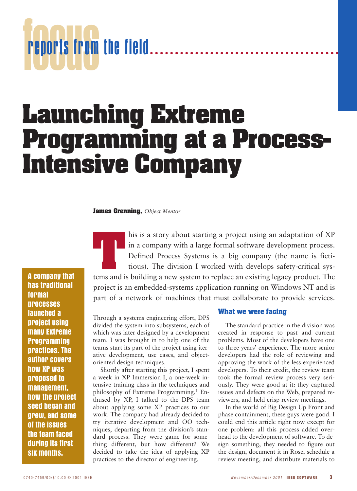# **feports from** reports from the field

# **Launching Extreme Programming at a Process-Intensive Company**

**James Grenning,** *Object Mentor*

**A company that has traditional formal processes launched a project using many Extreme Programming practices. The author covers how XP was proposed to management, how the project seed began and grew, and some of the issues the team faced during its first six months.**

This is a story about starting a project using an adaptation of XP<br>in a company with a large formal software development process.<br>Defined Process Systems is a big company (the name is ficti-<br>tious). The division I worked w in a company with a large formal software development process. Defined Process Systems is a big company (the name is fictitious). The division I worked with develops safety-critical systems and is building a new system to replace an existing legacy product. The project is an embedded-systems application running on Windows NT and is part of a network of machines that must collaborate to provide services.

Through a systems engineering effort, DPS divided the system into subsystems, each of which was later designed by a development team. I was brought in to help one of the teams start its part of the project using iterative development, use cases, and objectoriented design techniques.

Shortly after starting this project, I spent a week in XP Immersion I, a one-week intensive training class in the techniques and philosophy of Extreme Programming.1 Enthused by XP, I talked to the DPS team about applying some XP practices to our work. The company had already decided to try iterative development and OO techniques, departing from the division's standard process. They were game for something different, but how different? We decided to take the idea of applying XP practices to the director of engineering.

#### **What we were facing**

The standard practice in the division was created in response to past and current problems. Most of the developers have one to three years' experience. The more senior developers had the role of reviewing and approving the work of the less experienced developers. To their credit, the review team took the formal review process very seriously. They were good at it: they captured issues and defects on the Web, prepared reviewers, and held crisp review meetings.

In the world of Big Design Up Front and phase containment, these guys were good. I could end this article right now except for one problem: all this process added overhead to the development of software. To design something, they needed to figure out the design, document it in Rose, schedule a review meeting, and distribute materials to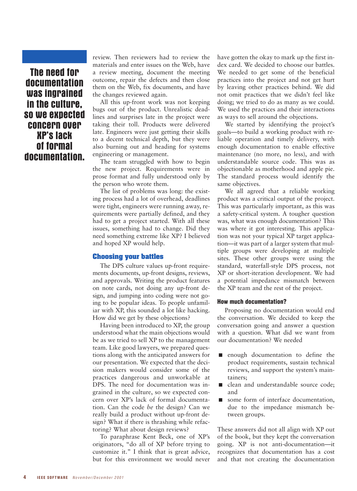**The need for documentation was ingrained in the culture, so we expected concern over XP's lack of formal documentation.** review. Then reviewers had to review the materials and enter issues on the Web, have a review meeting, document the meeting outcome, repair the defects and then close them on the Web, fix documents, and have the changes reviewed again.

All this up-front work was not keeping bugs out of the product. Unrealistic deadlines and surprises late in the project were taking their toll. Products were delivered late. Engineers were just getting their skills to a decent technical depth, but they were also burning out and heading for systems engineering or management.

The team struggled with how to begin the new project. Requirements were in prose format and fully understood only by the person who wrote them.

The list of problems was long: the existing process had a lot of overhead, deadlines were tight, engineers were running away, requirements were partially defined, and they had to get a project started. With all these issues, something had to change. Did they need something extreme like XP? I believed and hoped XP would help.

#### **Choosing your battles**

The DPS culture values up-front requirements documents, up-front designs, reviews, and approvals. Writing the product features on note cards, not doing any up-front design, and jumping into coding were not going to be popular ideas. To people unfamiliar with XP, this sounded a lot like hacking. How did we get by these objections?

Having been introduced to XP, the group understood what the main objections would be as we tried to sell XP to the management team. Like good lawyers, we prepared questions along with the anticipated answers for our presentation. We expected that the decision makers would consider some of the practices dangerous and unworkable at DPS. The need for documentation was ingrained in the culture, so we expected concern over XP's lack of formal documentation. Can the code *be* the design? Can we really build a product without up-front design? What if there is thrashing while refactoring? What about design reviews?

To paraphrase Kent Beck, one of XP's originators, "do all of XP before trying to customize it." I think that is great advice, but for this environment we would never have gotten the okay to mark up the first index card. We decided to choose our battles. We needed to get some of the beneficial practices into the project and not get hurt by leaving other practices behind. We did not omit practices that we didn't feel like doing; we tried to do as many as we could. We used the practices and their interactions as ways to sell around the objections.

We started by identifying the project's goals—to build a working product with reliable operation and timely delivery, with enough documentation to enable effective maintenance (no more, no less), and with understandable source code. This was as objectionable as motherhood and apple pie. The standard process would identify the same objectives.

We all agreed that a reliable working product was a critical output of the project. This was particularly important, as this was a safety-critical system. A tougher question was, what was enough documentation? This was where it got interesting. This application was not your typical XP target application—it was part of a larger system that multiple groups were developing at multiple sites. These other groups were using the standard, waterfall-style DPS process, not XP or short-iteration development. We had a potential impedance mismatch between the XP team and the rest of the project.

#### **How much documentation?**

Proposing no documentation would end the conversation. We decided to keep the conversation going and answer a question with a question. What did we want from our documentation? We needed

- enough documentation to define the product requirements, sustain technical reviews, and support the system's maintainers;
- clean and understandable source code; and
- some form of interface documentation, due to the impedance mismatch between groups.

These answers did not all align with XP out of the book, but they kept the conversation going. XP is not anti-documentation—it recognizes that documentation has a cost and that not creating the documentation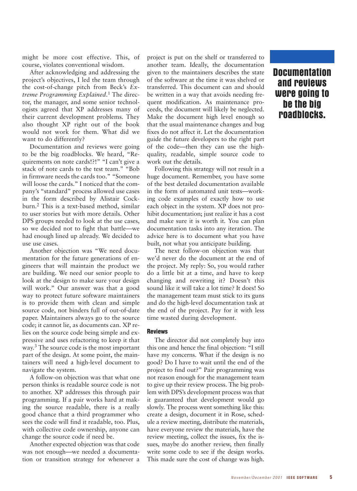might be more cost effective. This, of course, violates conventional wisdom.

After acknowledging and addressing the project's objectives, I led the team through the cost-of-change pitch from Beck's *Extreme Programming Explained*. <sup>1</sup> The director, the manager, and some senior technologists agreed that XP addresses many of their current development problems. They also thought XP right out of the book would not work for them. What did we want to do differently?

Documentation and reviews were going to be the big roadblocks. We heard, "Requirements on note cards!?!" "I can't give a stack of note cards to the test team." "Bob in firmware needs the cards too." "Someone will loose the cards." I noticed that the company's "standard" process allowed use cases in the form described by Alistair Cockburn.<sup>2</sup> This is a text-based method, similar to user stories but with more details. Other DPS groups needed to look at the use cases, so we decided not to fight that battle—we had enough lined up already. We decided to use use cases.

Another objection was "We need documentation for the future generations of engineers that will maintain the product we are building. We need our senior people to look at the design to make sure your design will work." Our answer was that a good way to protect future software maintainers is to provide them with clean and simple source code, not binders full of out-of-date paper. Maintainers always go to the source code; it cannot lie, as documents can. XP relies on the source code being simple and expressive and uses refactoring to keep it that way.<sup>3</sup> The source code is the most important part of the design. At some point, the maintainers will need a high-level document to navigate the system.

A follow-on objection was that what one person thinks is readable source code is not to another. XP addresses this through pair programming. If a pair works hard at making the source readable, there is a really good chance that a third programmer who sees the code will find it readable, too. Plus, with collective code ownership, anyone can change the source code if need be.

Another expected objection was that code was not enough—we needed a documentation or transition strategy for whenever a

project is put on the shelf or transferred to another team. Ideally, the documentation given to the maintainers describes the state of the software at the time it was shelved or transferred. This document can and should be written in a way that avoids needing frequent modification. As maintenance proceeds, the document will likely be neglected. Make the document high level enough so that the usual maintenance changes and bug fixes do not affect it. Let the documentation guide the future developers to the right part of the code—then they can use the highquality, readable, simple source code to work out the details.

Following this strategy will not result in a huge document. Remember, you have some of the best detailed documentation available in the form of automated unit tests—working code examples of exactly how to use each object in the system. XP does not prohibit documentation; just realize it has a cost and make sure it is worth it. You can plan documentation tasks into any iteration. The advice here is to document what you have built, not what you anticipate building.

The next follow-on objection was that we'd never do the document at the end of the project. My reply: So, you would rather do a little bit at a time, and have to keep changing and rewriting it? Doesn't this sound like it will take a lot time? It does! So the management team must stick to its guns and do the high-level documentation task at the end of the project. Pay for it with less time wasted during development.

#### **Reviews**

The director did not completely buy into this one and hence the final objection: "I still have my concerns. What if the design is no good? Do I have to wait until the end of the project to find out?" Pair programming was not reason enough for the management team to give up their review process. The big problem with DPS's development process was that it guaranteed that development would go slowly. The process went something like this: create a design, document it in Rose, schedule a review meeting, distribute the materials, have everyone review the materials, have the review meeting, collect the issues, fix the issues, maybe do another review, then finally write some code to see if the design works. This made sure the cost of change was high.

**Documentation and reviews were going to be the big roadblocks.**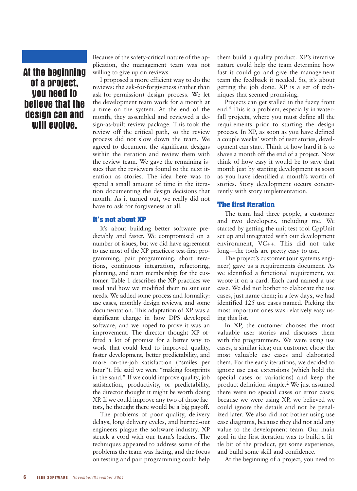# **At the beginning of a project, you need to believe that the design can and will evolve.**

Because of the safety-critical nature of the application, the management team was not willing to give up on reviews.

I proposed a more efficient way to do the reviews: the ask-for-forgiveness (rather than ask-for-permission) design process. We let the development team work for a month at a time on the system. At the end of the month, they assembled and reviewed a design-as-built review package. This took the review off the critical path, so the review process did not slow down the team. We agreed to document the significant designs within the iteration and review them with the review team. We gave the remaining issues that the reviewers found to the next iteration as stories. The idea here was to spend a small amount of time in the iteration documenting the design decisions that month. As it turned out, we really did not have to ask for forgiveness at all.

#### **It's not about XP**

It's about building better software predictably and faster. We compromised on a number of issues, but we did have agreement to use most of the XP practices: test-first programming, pair programming, short iterations, continuous integration, refactoring, planning, and team membership for the customer. Table 1 describes the XP practices we used and how we modified them to suit our needs. We added some process and formality: use cases, monthly design reviews, and some documentation. This adaptation of XP was a significant change in how DPS developed software, and we hoped to prove it was an improvement. The director thought XP offered a lot of promise for a better way to work that could lead to improved quality, faster development, better predictability, and more on-the-job satisfaction ("smiles per hour"). He said we were "making footprints in the sand." If we could improve quality, job satisfaction, productivity, or predictability, the director thought it might be worth doing XP. If we could improve any two of those factors, he thought there would be a big payoff.

The problems of poor quality, delivery delays, long delivery cycles, and burned-out engineers plague the software industry. XP struck a cord with our team's leaders. The techniques appeared to address some of the problems the team was facing, and the focus on testing and pair programming could help

them build a quality product. XP's iterative nature could help the team determine how fast it could go and give the management team the feedback it needed. So, it's about getting the job done. XP is a set of techniques that seemed promising.

Projects can get stalled in the fuzzy front end.<sup>4</sup> This is a problem, especially in waterfall projects, where you must define all the requirements prior to starting the design process. In XP, as soon as you have defined a couple weeks' worth of user stories, development can start. Think of how hard it is to shave a month off the end of a project. Now think of how easy it would be to save that month just by starting development as soon as you have identified a month's worth of stories. Story development occurs concurrently with story implementation.

#### **The first iteration**

The team had three people, a customer and two developers, including me. We started by getting the unit test tool CppUnit set up and integrated with our development environment, VC++. This did not take long—the tools are pretty easy to use.

The project's customer (our systems engineer) gave us a requirements document. As we identified a functional requirement, we wrote it on a card. Each card named a use case. We did not bother to elaborate the use cases, just name them; in a few days, we had identified 125 use cases named. Picking the most important ones was relatively easy using this list.

In XP, the customer chooses the most valuable user stories and discusses them with the programmers. We were using use cases, a similar idea; our customer chose the most valuable use cases and elaborated them. For the early iterations, we decided to ignore use case extensions (which hold the special cases or variations) and keep the product definition simple.<sup>2</sup> We just assumed there were no special cases or error cases; because we were using XP, we believed we could ignore the details and not be penalized later. We also did not bother using use case diagrams, because they did not add any value to the development team. Our main goal in the first iteration was to build a little bit of the product, get some experience, and build some skill and confidence.

At the beginning of a project, you need to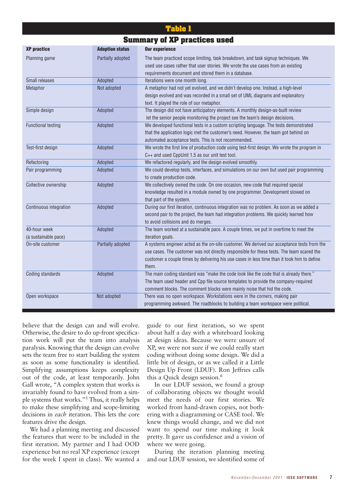## **Table 1**

| <b>Summary of XP practices used</b>  |                        |                                                                                                                                                                                                                                                                                                 |
|--------------------------------------|------------------------|-------------------------------------------------------------------------------------------------------------------------------------------------------------------------------------------------------------------------------------------------------------------------------------------------|
| <b>XP</b> practice                   | <b>Adoption status</b> | <b>Our experience</b>                                                                                                                                                                                                                                                                           |
| Planning game                        | Partially adopted      | The team practiced scope limiting, task breakdown, and task signup techniques. We<br>used use cases rather that user stories. We wrote the use cases from an existing<br>requirements document and stored them in a database.                                                                   |
| Small releases                       | Adopted                | Iterations were one month long.                                                                                                                                                                                                                                                                 |
| Metaphor                             | Not adopted            | A metaphor had not yet evolved, and we didn't develop one. Instead, a high-level<br>design evolved and was recorded in a small set of UML diagrams and explanatory<br>text. It played the role of our metaphor.                                                                                 |
| Simple design                        | Adopted                | The design did not have anticipatory elements. A monthly design-as-built review<br>let the senior people monitoring the project see the team's design decisions.                                                                                                                                |
| <b>Functional testing</b>            | Adopted                | We developed functional tests in a custom scripting language. The tests demonstrated<br>that the application logic met the customer's need. However, the team got behind on<br>automated acceptance tests. This is not recommended.                                                             |
| Test-first design                    | Adopted                | We wrote the first line of production code using test-first design. We wrote the program in<br>C++ and used CppUnit 1.5 as our unit test tool.                                                                                                                                                  |
| Refactoring                          | Adopted                | We refactored regularly, and the design evolved smoothly.                                                                                                                                                                                                                                       |
| Pair programming                     | Adopted                | We could develop tests, interfaces, and simulations on our own but used pair programming<br>to create production code.                                                                                                                                                                          |
| Collective ownership                 | Adopted                | We collectively owned the code. On one occasion, new code that required special<br>knowledge resulted in a module owned by one programmer. Development slowed on<br>that part of the system.                                                                                                    |
| Continuous integration               | Adopted                | During our first iteration, continuous integration was no problem. As soon as we added a<br>second pair to the project, the team had integration problems. We quickly learned how<br>to avoid collisions and do merges.                                                                         |
| 40-hour week<br>(a sustainable pace) | Adopted                | The team worked at a sustainable pace. A couple times, we put in overtime to meet the<br>iteration goals.                                                                                                                                                                                       |
| On-site customer                     | Partially adopted      | A systems engineer acted as the on-site customer. We derived our acceptance tests from the<br>use cases. The customer was not directly responsible for these tests. The team scared the<br>customer a couple times by delivering his use cases in less time than it took him to define<br>them. |
| Coding standards                     | Adopted                | The main coding standard was "make the code look like the code that is already there."<br>The team used header and Cpp file source templates to provide the company-required<br>comment blocks. The comment blocks were mainly noise that hid the code.                                         |
| Open workspace                       | Not adopted            | There was no open workspace. Workstations were in the corners, making pair<br>programming awkward. The roadblocks to building a team workspace were political.                                                                                                                                  |

believe that the design can and will evolve. Otherwise, the desire to do up-front specification work will put the team into analysis paralysis. Knowing that the design can evolve sets the team free to start building the system as soon as some functionality is identified. Simplifying assumptions keeps complexity out of the code, at least temporarily. John Gall wrote, "A complex system that works is invariably found to have evolved from a simple systems that works."5 Thus, it really helps to make these simplifying and scope-limiting decisions in *each* iteration. This lets the core features drive the design.

We had a planning meeting and discussed the features that were to be included in the first iteration. My partner and I had OOD experience but no real XP experience (except for the week I spent in class). We wanted a

guide to our first iteration, so we spent about half a day with a whiteboard looking at design ideas. Because we were unsure of XP, we were not sure if we could really start coding without doing some design. We did a little bit of design, or as we called it a Little Design Up Front (LDUF). Ron Jeffries calls this a Quick design session.<sup>6</sup>

In our LDUF session, we found a group of collaborating objects we thought would meet the needs of our first stories. We worked from hand-drawn copies, not bothering with a diagramming or CASE tool. We knew things would change, and we did not want to spend our time making it look pretty. It gave us confidence and a vision of where we were going.

During the iteration planning meeting and our LDUF session, we identified some of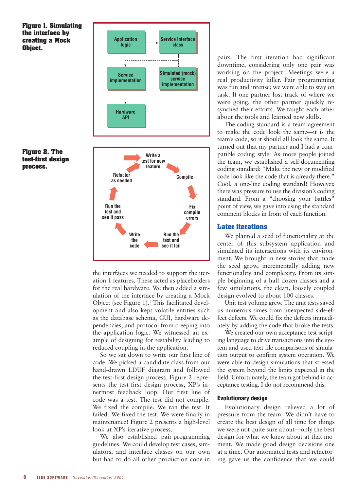#### **Figure 1. Simulating the interface by creating a Mock Object.**



the interfaces we needed to support the iteration 1 features. These acted as placeholders for the real hardware. We then added a simulation of the interface by creating a Mock Object (see Figure 1).7 This facilitated development and also kept volatile entities such as the database schema, GUI, hardware dependencies, and protocol from creeping into the application logic. We witnessed an example of designing for testability leading to reduced coupling in the application.

So we sat down to write our first line of code. We picked a candidate class from our hand-drawn LDUF diagram and followed the test-first design process. Figure 2 represents the test-first design process, XP's innermost feedback loop. Our first line of code was a test. The test did not compile. We fixed the compile. We ran the test. It failed. We fixed the test. We were finally in maintenance! Figure 2 presents a high-level look at XP's iterative process.

We also established pair-programming guidelines. We could develop test cases, simulators, and interface classes on our own but had to do all other production code in

pairs. The first iteration had significant downtime, considering only one pair was working on the project. Meetings were a real productivity killer. Pair programming was fun and intense; we were able to stay on task. If one partner lost track of where we were going, the other partner quickly resynched their efforts. We taught each other about the tools and learned new skills.

The coding standard is a team agreement to make the code look the same—it is the team's code, so it should all look the same. It turned out that my partner and I had a compatible coding style. As more people joined the team, we established a self-documenting coding standard: "Make the new or modified code look like the code that is already there." Cool, a one-line coding standard! However, there was pressure to use the division's coding standard. From a "choosing your battles" point of view, we gave into using the standard comment blocks in front of each function.

#### **Later iterations**

We planted a seed of functionality at the center of this subsystem application and simulated its interactions with its environment. We brought in new stories that made the seed grow, incrementally adding new functionality and complexity. From its simple beginning of a half dozen classes and a few simulations, the clean, loosely coupled design evolved to about 100 classes.

Unit test volume grew. The unit tests saved us numerous times from unexpected side-effect defects. We could fix the defects immediately by adding the code that broke the tests.

We created our own acceptance test scripting language to drive transactions into the system and used text file comparisons of simulation output to confirm system operation. We were able to design simulations that stressed the system beyond the limits expected in the field. Unfortunately, the team got behind in acceptance testing. I do not recommend this.

#### **Evolutionary design**

Evolutionary design relieved a lot of pressure from the team. We didn't have to create the best design of all time for things we were not quite sure about—only the best design for what we knew about at that moment. We made good design decisions one at a time. Our automated tests and refactoring gave us the confidence that we could

#### **Figure 2. The test-first design process.**